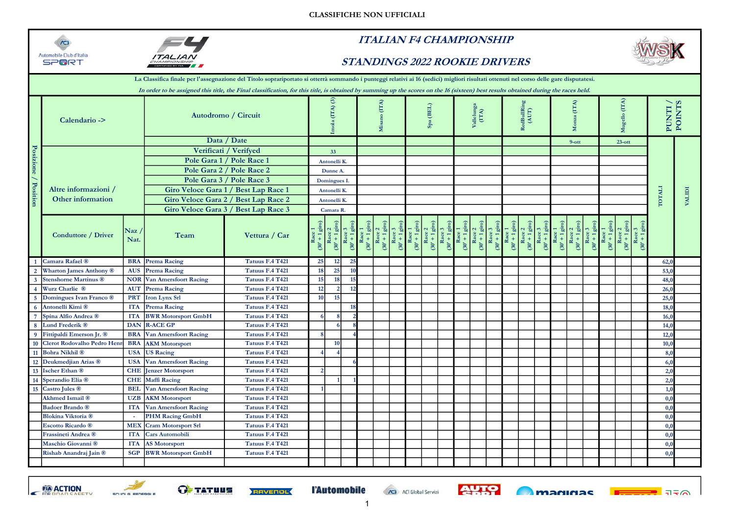



## ITALIAN F4 CHAMPIONSHIP

## STANDINGS 2022 ROOKIE DRIVERS



|                      |                                |                                 |                                      | La Classifica finale per l'assegnazione del Titolo soprariportato si otterrà sommando i punteggi relativi ai 16 (sedici) migliori risultati ottenuti nel corso delle gare disputatesi.<br>In order to be assigned this title, the Final classification, for this title, is obtained by summing up the scores on the 16 (sixteen) best results obtained during the races held. |                 |                                                           |                                    |                                     |  |  |  |                |  |  |                                                                                                                                                                                                                              |  |                                              |                       |                        |  |                                 |                                 |                                 |             |                             |              |                   |
|----------------------|--------------------------------|---------------------------------|--------------------------------------|-------------------------------------------------------------------------------------------------------------------------------------------------------------------------------------------------------------------------------------------------------------------------------------------------------------------------------------------------------------------------------|-----------------|-----------------------------------------------------------|------------------------------------|-------------------------------------|--|--|--|----------------|--|--|------------------------------------------------------------------------------------------------------------------------------------------------------------------------------------------------------------------------------|--|----------------------------------------------|-----------------------|------------------------|--|---------------------------------|---------------------------------|---------------------------------|-------------|-----------------------------|--------------|-------------------|
|                      | Calendario ->                  |                                 | Autodromo / Circuit                  |                                                                                                                                                                                                                                                                                                                                                                               |                 | $\odot$<br>(TTA)<br>ola                                   |                                    | (TA)<br>Ξ                           |  |  |  | $(BEL)$<br>Spa |  |  | Vallelung<br>(ITA)                                                                                                                                                                                                           |  |                                              | RedBullRi<br>(AUT)    |                        |  | (ITA)                           |                                 |                                 | (TA)        |                             |              | PUNTI /<br>POINTS |
|                      |                                |                                 |                                      | Data / Date                                                                                                                                                                                                                                                                                                                                                                   |                 |                                                           |                                    |                                     |  |  |  |                |  |  |                                                                                                                                                                                                                              |  |                                              |                       |                        |  |                                 | $9$ -ott                        |                                 |             | $23$ -ott                   |              |                   |
|                      |                                |                                 |                                      | Verificati / Verifyed                                                                                                                                                                                                                                                                                                                                                         |                 | 33                                                        |                                    |                                     |  |  |  |                |  |  |                                                                                                                                                                                                                              |  |                                              |                       |                        |  |                                 |                                 |                                 |             |                             |              |                   |
|                      |                                |                                 |                                      | Pole Gara 1 / Pole Race 1                                                                                                                                                                                                                                                                                                                                                     |                 | Antonelli K.                                              |                                    |                                     |  |  |  |                |  |  |                                                                                                                                                                                                                              |  |                                              |                       |                        |  |                                 |                                 |                                 |             |                             |              |                   |
|                      |                                |                                 |                                      | Pole Gara 2 / Pole Race 2                                                                                                                                                                                                                                                                                                                                                     |                 | Dunne A.                                                  |                                    |                                     |  |  |  |                |  |  |                                                                                                                                                                                                                              |  |                                              |                       |                        |  |                                 |                                 |                                 |             |                             |              |                   |
|                      |                                |                                 |                                      | Pole Gara 3 / Pole Race 3                                                                                                                                                                                                                                                                                                                                                     |                 | Domingues I.                                              |                                    |                                     |  |  |  |                |  |  |                                                                                                                                                                                                                              |  |                                              |                       |                        |  |                                 |                                 |                                 |             |                             |              |                   |
|                      | Altre informazioni /           |                                 | Giro Veloce Gara 1 / Best Lap Race 1 |                                                                                                                                                                                                                                                                                                                                                                               |                 | Antonelli K.                                              |                                    |                                     |  |  |  |                |  |  |                                                                                                                                                                                                                              |  |                                              |                       |                        |  |                                 |                                 |                                 |             |                             |              |                   |
| Posizione / Position | Other information              |                                 |                                      | Giro Veloce Gara 2 / Best Lap Race 2                                                                                                                                                                                                                                                                                                                                          |                 | Antonelli K.                                              |                                    |                                     |  |  |  |                |  |  |                                                                                                                                                                                                                              |  |                                              |                       |                        |  |                                 |                                 |                                 |             |                             | <b>LIVLO</b> | <b>VALIDI</b>     |
|                      |                                |                                 | Giro Veloce Gara 3 / Best Lap Race 3 |                                                                                                                                                                                                                                                                                                                                                                               |                 | Camara R.                                                 |                                    |                                     |  |  |  |                |  |  |                                                                                                                                                                                                                              |  |                                              |                       |                        |  |                                 |                                 |                                 |             |                             |              |                   |
|                      | Conduttore / Driver            | $\overline{\text{Naz}}$<br>Nat. | Team                                 | Vettura / Car                                                                                                                                                                                                                                                                                                                                                                 |                 | $\begin{array}{c}\n\text{Race} \\ (30' + 1)\n\end{array}$ | $\frac{\text{Race}}{(30^1 + 1)^2}$ | $\frac{Racc}{v+1}$<br>$(30^{\circ}$ |  |  |  |                |  |  | Race 2<br>(30' + 1 giro)<br>Race 3<br>(30' + 1 giro)<br>Race 1<br>(30' + 1 giro)<br>(30' + 1 giro)<br>Race 1<br>(30' + 1 giro)<br>Race 1<br>(30' + 1 giro)<br>Race 2<br>(30' + 1 giro)<br>Race 2<br>(30' + 1 giro)<br>Race 1 |  | $\frac{\text{Race 3}}{(30' + 1 \text{ gi})}$ | Race 1<br>(30' + 1 gi | Race 2<br>(30' + 1 gir |  | $\frac{\text{Race}}{(30' + 1)}$ | $\frac{\text{Race}}{(30' + 1)}$ | $\frac{\text{Race}}{(30' + 1)}$ | $(30' + 1)$ | $(30' + 1)$<br>$30^{\circ}$ |              |                   |
|                      | 1 Camara Rafael ®              |                                 | <b>BRA</b> Prema Racing              | <b>Tatuus F.4 T421</b>                                                                                                                                                                                                                                                                                                                                                        | 25              | 12                                                        |                                    | 25                                  |  |  |  |                |  |  |                                                                                                                                                                                                                              |  |                                              |                       |                        |  |                                 |                                 |                                 |             |                             | 62,0         |                   |
| $\overline{2}$       | <b>Wharton James Anthony ®</b> | <b>AUS</b>                      | <b>Prema Racing</b>                  | <b>Tatuus F.4 T421</b>                                                                                                                                                                                                                                                                                                                                                        | 18              | 25                                                        | 10                                 |                                     |  |  |  |                |  |  |                                                                                                                                                                                                                              |  |                                              |                       |                        |  |                                 |                                 |                                 |             |                             | 53,0         |                   |
|                      | 3 Stenshorne Martinus ®        |                                 | <b>NOR</b> Van Amersfoort Racing     | Tatuus F.4 T421                                                                                                                                                                                                                                                                                                                                                               | 15 <sup>1</sup> | 18                                                        |                                    | 15                                  |  |  |  |                |  |  |                                                                                                                                                                                                                              |  |                                              |                       |                        |  |                                 |                                 |                                 |             |                             | 48,0         |                   |
| $\overline{4}$       | Wurz Charlie ®                 | <b>AUT</b>                      | <b>Prema Racing</b>                  | Tatuus F.4 T421                                                                                                                                                                                                                                                                                                                                                               | 12              |                                                           |                                    | 12.                                 |  |  |  |                |  |  |                                                                                                                                                                                                                              |  |                                              |                       |                        |  |                                 |                                 |                                 |             |                             | 26,0         |                   |
|                      | 5 Domingues Ivan Franco ®      |                                 | <b>PRT</b> Iron Lynx Srl             | Tatuus F.4 T421                                                                                                                                                                                                                                                                                                                                                               | 10 <sup>1</sup> | <sup>15</sup>                                             |                                    |                                     |  |  |  |                |  |  |                                                                                                                                                                                                                              |  |                                              |                       |                        |  |                                 |                                 |                                 |             |                             | 25,0         |                   |
| $\overline{6}$       | Antonelli Kimi ®               | <b>ITA</b>                      | <b>Prema Racing</b>                  | <b>Tatuus F.4 T421</b>                                                                                                                                                                                                                                                                                                                                                        |                 |                                                           |                                    | 18                                  |  |  |  |                |  |  |                                                                                                                                                                                                                              |  |                                              |                       |                        |  |                                 |                                 |                                 |             |                             | 18.0         |                   |
| $7\overline{ }$      | Spina Alfio Andrea ®           | <b>ITA</b>                      | <b>BWR</b> Motorsport GmbH           | Tatuus F.4 T421                                                                                                                                                                                                                                                                                                                                                               |                 |                                                           |                                    |                                     |  |  |  |                |  |  |                                                                                                                                                                                                                              |  |                                              |                       |                        |  |                                 |                                 |                                 |             |                             | 16.0         |                   |
| $\bf{8}$             | Lund Frederik <sup>®</sup>     |                                 | DAN R-ACE GP                         | <b>Tatuus F.4 T421</b>                                                                                                                                                                                                                                                                                                                                                        |                 |                                                           |                                    |                                     |  |  |  |                |  |  |                                                                                                                                                                                                                              |  |                                              |                       |                        |  |                                 |                                 |                                 |             |                             | 14,0         |                   |
|                      | 9 Fittipaldi Emerson Jr. ®     | <b>BRA</b>                      | Van Amersfoort Racing                | Tatuus F.4 T421                                                                                                                                                                                                                                                                                                                                                               |                 |                                                           |                                    |                                     |  |  |  |                |  |  |                                                                                                                                                                                                                              |  |                                              |                       |                        |  |                                 |                                 |                                 |             |                             | 12,0         |                   |
|                      | 10 Clerot Rodovalho Pedro Hen  | <b>BRA</b>                      | <b>AKM</b> Motorsport                | Tatuus F.4 T421                                                                                                                                                                                                                                                                                                                                                               |                 | 10                                                        |                                    |                                     |  |  |  |                |  |  |                                                                                                                                                                                                                              |  |                                              |                       |                        |  |                                 |                                 |                                 |             |                             | 10,0         |                   |
|                      | 11 Bohra Nikhil ®              | <b>USA</b>                      | <b>US Racing</b>                     | Tatuus F.4 T421                                                                                                                                                                                                                                                                                                                                                               |                 |                                                           |                                    |                                     |  |  |  |                |  |  |                                                                                                                                                                                                                              |  |                                              |                       |                        |  |                                 |                                 |                                 |             |                             | 8,0          |                   |
|                      | 12 Deukmedjian Arias ®         | <b>USA</b>                      | <b>Van Amersfoort Racing</b>         | <b>Tatuus F.4 T421</b>                                                                                                                                                                                                                                                                                                                                                        |                 |                                                           |                                    |                                     |  |  |  |                |  |  |                                                                                                                                                                                                                              |  |                                              |                       |                        |  |                                 |                                 |                                 |             |                             | 6,0          |                   |
|                      | 13 Ischer Ethan ®              | <b>CHE</b>                      | <b>Jenzer Motorsport</b>             | Tatuus F.4 T421                                                                                                                                                                                                                                                                                                                                                               |                 |                                                           |                                    |                                     |  |  |  |                |  |  |                                                                                                                                                                                                                              |  |                                              |                       |                        |  |                                 |                                 |                                 |             |                             | 2,0          |                   |
|                      | 14 Sperandio Elia ®            |                                 | <b>CHE</b> Maffi Racing              | Tatuus F.4 T421                                                                                                                                                                                                                                                                                                                                                               |                 |                                                           |                                    |                                     |  |  |  |                |  |  |                                                                                                                                                                                                                              |  |                                              |                       |                        |  |                                 |                                 |                                 |             |                             | 2,0          |                   |
|                      | 15 Castro Jules ®              | <b>BEL</b>                      | <b>Van Amersfoort Racing</b>         | Tatuus F.4 T421                                                                                                                                                                                                                                                                                                                                                               |                 |                                                           |                                    |                                     |  |  |  |                |  |  |                                                                                                                                                                                                                              |  |                                              |                       |                        |  |                                 |                                 |                                 |             |                             | 1,0          |                   |
|                      | Akhmed Ismail <sup>®</sup>     |                                 | <b>UZB</b> AKM Motorsport            | Tatuus F.4 T421                                                                                                                                                                                                                                                                                                                                                               |                 |                                                           |                                    |                                     |  |  |  |                |  |  |                                                                                                                                                                                                                              |  |                                              |                       |                        |  |                                 |                                 |                                 |             |                             | 0,0          |                   |
|                      | <b>Badoer Brando</b> ®         | <b>ITA</b>                      | <b>Van Amersfoort Racing</b>         | Tatuus F.4 T421                                                                                                                                                                                                                                                                                                                                                               |                 |                                                           |                                    |                                     |  |  |  |                |  |  |                                                                                                                                                                                                                              |  |                                              |                       |                        |  |                                 |                                 |                                 |             |                             | 0.0          |                   |
|                      | <b>Blokina Viktoria</b> ®      |                                 | <b>PHM Racing GmbH</b>               | Tatuus F.4 T421                                                                                                                                                                                                                                                                                                                                                               |                 |                                                           |                                    |                                     |  |  |  |                |  |  |                                                                                                                                                                                                                              |  |                                              |                       |                        |  |                                 |                                 |                                 |             |                             | 0,0          |                   |
|                      | <b>Escotto Ricardo</b> ®       |                                 | MEX Cram Motorsport Srl              | <b>Tatuus F.4 T421</b>                                                                                                                                                                                                                                                                                                                                                        |                 |                                                           |                                    |                                     |  |  |  |                |  |  |                                                                                                                                                                                                                              |  |                                              |                       |                        |  |                                 |                                 |                                 |             |                             | 0,0          |                   |
|                      | Frassineti Andrea ®            | <b>ITA</b>                      | <b>Cars Automobili</b>               | <b>Tatuus F.4 T421</b>                                                                                                                                                                                                                                                                                                                                                        |                 |                                                           |                                    |                                     |  |  |  |                |  |  |                                                                                                                                                                                                                              |  |                                              |                       |                        |  |                                 |                                 |                                 |             |                             | 0,0          |                   |
|                      | Maschio Giovanni ®             | <b>ITA</b>                      | <b>AS Motorsport</b>                 | <b>Tatuus F.4 T421</b>                                                                                                                                                                                                                                                                                                                                                        |                 |                                                           |                                    |                                     |  |  |  |                |  |  |                                                                                                                                                                                                                              |  |                                              |                       |                        |  |                                 |                                 |                                 |             |                             | 0.0          |                   |
|                      | Rishab Anandraj Jain ®         | <b>SGP</b>                      | <b>BWR</b> Motorsport GmbH           | Tatuus F.4 T421                                                                                                                                                                                                                                                                                                                                                               |                 |                                                           |                                    |                                     |  |  |  |                |  |  |                                                                                                                                                                                                                              |  |                                              |                       |                        |  |                                 |                                 |                                 |             |                             | 0,0          |                   |
|                      |                                |                                 |                                      |                                                                                                                                                                                                                                                                                                                                                                               |                 |                                                           |                                    |                                     |  |  |  |                |  |  |                                                                                                                                                                                                                              |  |                                              |                       |                        |  |                                 |                                 |                                 |             |                             |              |                   |





 $\frac{1}{\sqrt{2}}$